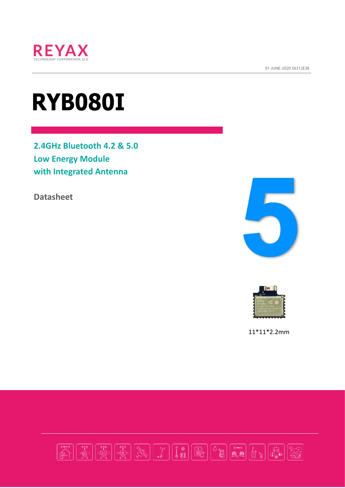01-JUNE-2020 56312E38



# **RYB080I**

**2.4GHz Bluetooth 4.2 & 5.0 Low Energy Module with Integrated Antenna**

**Datasheet**





11\*11\*2.2mm

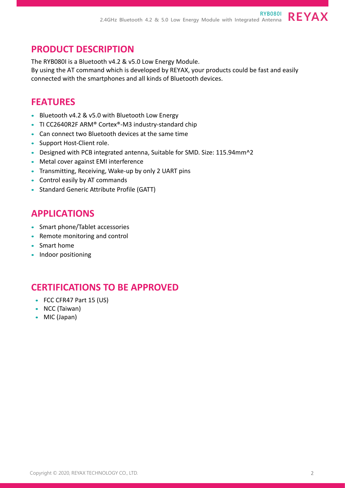# **PRODUCT DESCRIPTION**

The RYB080I is a Bluetooth v4.2 & v5.0 Low Energy Module. By using the AT command which is developed by REYAX, your products could be fast and easily connected with the smartphones and all kinds of Bluetooth devices.

# **FEATURES**

- Bluetooth v4.2 & v5.0 with Bluetooth Low Energy
- TI CC2640R2F ARM® Cortex®-M3 industry-standard chip
- Can connect two Bluetooth devices at the same time
- Support Host-Client role.
- Designed with PCB integrated antenna, Suitable for SMD. Size: 115.94mm^2
- Metal cover against EMI interference
- Transmitting, Receiving, Wake-up by only 2 UART pins
- Control easily by AT commands
- Standard Generic Attribute Profile (GATT)

# **APPLICATIONS**

- Smart phone/Tablet accessories
- Remote monitoring and control
- Smart home
- Indoor positioning

# **CERTIFICATIONS TO BE APPROVED**

- FCC CFR47 Part 15 (US)
- NCC (Taiwan)
- MIC (Japan)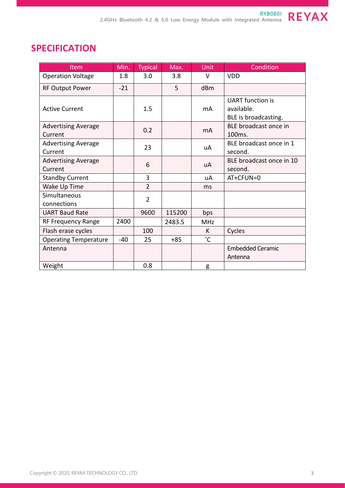# **SPECIFICATION**

| <b>Item</b>                           | Min.  | <b>Typical</b> | Max.   | Unit           | Condition                                                     |
|---------------------------------------|-------|----------------|--------|----------------|---------------------------------------------------------------|
| <b>Operation Voltage</b>              | 1.8   | 3.0            | 3.8    | v              | <b>VDD</b>                                                    |
| <b>RF Output Power</b>                | $-21$ |                | 5      | dBm            |                                                               |
| <b>Active Current</b>                 |       | 1.5            |        | mA             | <b>UART</b> function is<br>available.<br>BLE is broadcasting. |
| <b>Advertising Average</b><br>Current |       | 0.2            |        | m <sub>A</sub> | BLE broadcast once in<br>100ms.                               |
| <b>Advertising Average</b><br>Current |       | 23             |        | uA             | BLE broadcast once in 1<br>second.                            |
| <b>Advertising Average</b><br>Current |       | 6              |        | uA             | BLE broadcast once in 10<br>second.                           |
| <b>Standby Current</b>                |       | 3              |        | uA             | AT+CFUN=0                                                     |
| Wake Up Time                          |       | $\overline{2}$ |        | ms             |                                                               |
| Simultaneous<br>connections           |       | $\overline{2}$ |        |                |                                                               |
| <b>UART Baud Rate</b>                 |       | 9600           | 115200 | bps            |                                                               |
| <b>RF Frequency Range</b>             | 2400  |                | 2483.5 | <b>MHz</b>     |                                                               |
| Flash erase cycles                    |       | 100            |        | K              | Cycles                                                        |
| <b>Operating Temperature</b>          | $-40$ | 25             | $+85$  | $\degree$ C    |                                                               |
| Antenna                               |       |                |        |                | <b>Embedded Ceramic</b><br>Antenna                            |
| Weight                                |       | 0.8            |        | g              |                                                               |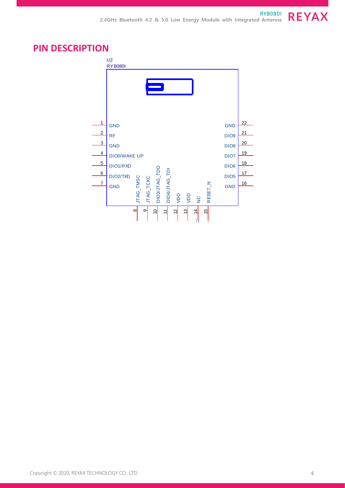# **PIN DESCRIPTION**

|                | U <sub>2</sub><br><b>RYB0801</b> |           |           |               |               |             |               |               |               |                  |           |
|----------------|----------------------------------|-----------|-----------|---------------|---------------|-------------|---------------|---------------|---------------|------------------|-----------|
|                |                                  |           |           |               |               |             |               |               |               |                  |           |
| 1              | <b>GND</b>                       |           |           |               |               |             |               |               |               | <b>GND</b>       | 22        |
| $\overline{2}$ | <b>RF</b>                        |           |           |               |               |             |               |               |               | DIO <sub>9</sub> | 21        |
| 3              | <b>GND</b>                       |           |           |               |               |             |               |               |               | DIO <sub>8</sub> | 20        |
| 4              | <b>DIO0/WAKE UP</b>              |           |           |               |               |             |               |               |               | DIO7             | <u>19</u> |
| $\overline{5}$ | DIO1/RXD                         |           |           |               |               |             |               |               |               | DIO <sub>6</sub> | 18        |
| 6              | DIO2/TXD                         |           |           |               |               |             |               |               |               | DIO <sub>5</sub> | 17        |
| $\overline{7}$ | <b>GND</b>                       |           |           |               |               |             |               |               |               | <b>GND</b>       | 16        |
|                |                                  | JTAG_TMSC | JTAG_TCKC | DIO3/JTAG_TDO | DIO4/JTAG_TDI | OQV         | aan.          | $\frac{1}{2}$ | RESET_N       |                  |           |
|                |                                  | $\infty$  | တ         | 위             | $\tilde{t}$   | $\tilde{c}$ | $\frac{3}{2}$ | $\frac{4}{3}$ | $\frac{5}{1}$ |                  |           |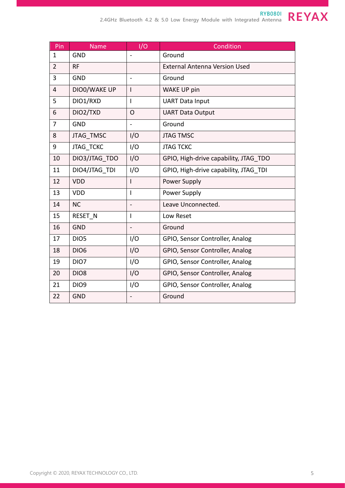| Pin            | <b>Name</b>      | $\overline{1/O}$         | Condition                             |
|----------------|------------------|--------------------------|---------------------------------------|
| $\mathbf{1}$   | <b>GND</b>       |                          | Ground                                |
| $\overline{2}$ | <b>RF</b>        |                          | <b>External Antenna Version Used</b>  |
| $\overline{3}$ | <b>GND</b>       | $\overline{a}$           | Ground                                |
| 4              | DIO0/WAKE UP     | I                        | <b>WAKE UP pin</b>                    |
| 5              | DIO1/RXD         | I                        | <b>UART Data Input</b>                |
| 6              | DIO2/TXD         | $\Omega$                 | <b>UART Data Output</b>               |
| $\overline{7}$ | <b>GND</b>       | $\overline{\phantom{0}}$ | Ground                                |
| 8              | <b>JTAG TMSC</b> | I/O                      | <b>JTAG TMSC</b>                      |
| 9              | <b>JTAG TCKC</b> | I/O                      | <b>JTAG TCKC</b>                      |
| 10             | DIO3/JTAG TDO    | I/O                      | GPIO, High-drive capability, JTAG TDO |
| 11             | DIO4/JTAG TDI    | I/O                      | GPIO, High-drive capability, JTAG_TDI |
| 12             | <b>VDD</b>       | I                        | Power Supply                          |
| 13             | <b>VDD</b>       | I                        | Power Supply                          |
| 14             | <b>NC</b>        | $\overline{a}$           | Leave Unconnected.                    |
| 15             | RESET N          | $\overline{\phantom{a}}$ | Low Reset                             |
| 16             | <b>GND</b>       |                          | Ground                                |
| 17             | DIO <sub>5</sub> | I/O                      | GPIO, Sensor Controller, Analog       |
| 18             | <b>DIO6</b>      | I/O                      | GPIO, Sensor Controller, Analog       |
| 19             | DIO7             | I/O                      | GPIO, Sensor Controller, Analog       |
| 20             | DIO <sub>8</sub> | I/O                      | GPIO, Sensor Controller, Analog       |
| 21             | <b>DIO9</b>      | I/O                      | GPIO, Sensor Controller, Analog       |
| 22             | <b>GND</b>       |                          | Ground                                |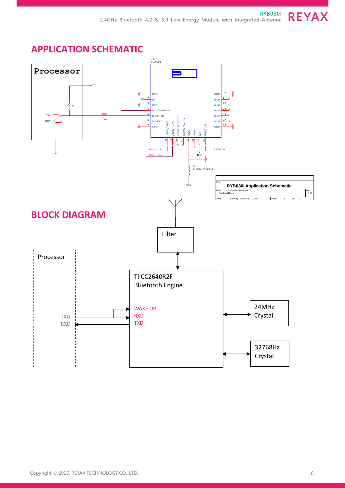# **APPLICATION SCHEMATIC**

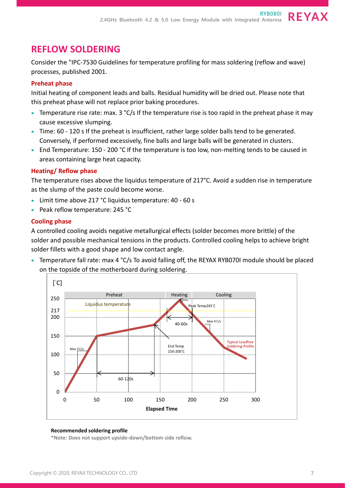# **REFLOW SOLDERING**

Consider the "IPC-7530 Guidelines for temperature profiling for mass soldering (reflow and wave) processes, published 2001.

## **Preheat phase**

Initial heating of component leads and balls. Residual humidity will be dried out. Please note that this preheat phase will not replace prior baking procedures.

- Temperature rise rate: max. 3 °C/s If the temperature rise is too rapid in the preheat phase it may cause excessive slumping.
- Time: 60 120 s If the preheat is insufficient, rather large solder balls tend to be generated. Conversely, if performed excessively, fine balls and large balls will be generated in clusters.
- End Temperature: 150 200 °C If the temperature is too low, non-melting tends to be caused in areas containing large heat capacity.

## **Heating/ Reflow phase**

The temperature rises above the liquidus temperature of 217°C. Avoid a sudden rise in temperature as the slump of the paste could become worse.

- Limit time above 217 °C liquidus temperature: 40 60 s
- Peak reflow temperature: 245 °C

## **Cooling phase**

A controlled cooling avoids negative metallurgical effects (solder becomes more brittle) of the solder and possible mechanical tensions in the products. Controlled cooling helps to achieve bright solder fillets with a good shape and low contact angle.

• Temperature fall rate: max 4 °C/s To avoid falling off, the REYAX RYB070I module should be placed on the topside of the motherboard during soldering.



#### **Recommended soldering profile**

**\*Note: Does not support upside-down/bottom side reflow.**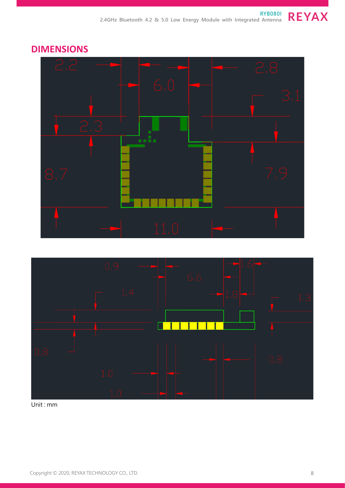# **DIMENSIONS**





Unit : mm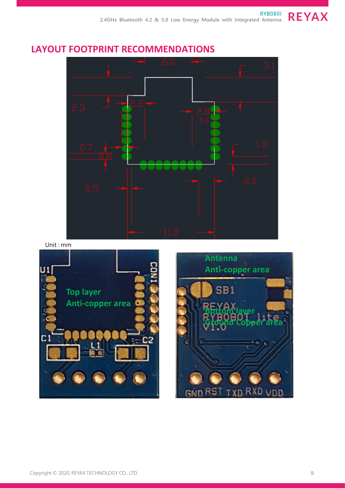

# **LAYOUT FOOTPRINT RECOMMENDATIONS**

Unit : mm



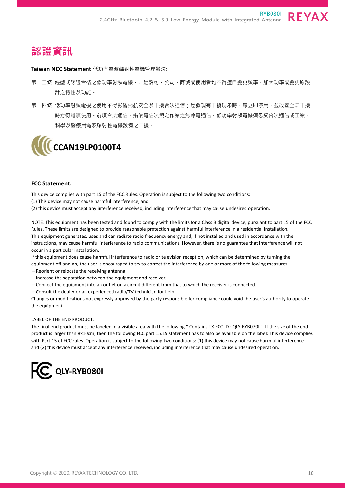# **認證資訊**

#### **Taiwan NCC Statement** 低功率電波輻射性電機管理辦法**:**

- 第十二條 經型式認證合格之低功率射頻電機,非經許可,公司、商號或使用者均不得擅自變更頻率、加大功率或變更原設 計之特性及功能。
- 第十四條 低功率射頻電機之使用不得影響飛航安全及干擾合法通信;經發現有干擾現象時,應立即停用,並改善至無干擾 時方得繼續使用。前項合法通信,指依電信法規定作業之無線電通信。低功率射頻電機須忍受合法通信或工業、 科學及醫療用電波輻射性電機設備之干擾。



#### **FCC Statement:**

This device complies with part 15 of the FCC Rules. Operation is subject to the following two conditions: (1) This device may not cause harmful interference, and

(2) this device must accept any interference received, including interference that may cause undesired operation.

NOTE: This equipment has been tested and found to comply with the limits for a Class B digital device, pursuant to part 15 of the FCC Rules. These limits are designed to provide reasonable protection against harmful interference in a residential installation. This equipment generates, uses and can radiate radio frequency energy and, if not installed and used in accordance with the instructions, may cause harmful interference to radio communications. However, there is no guarantee that interference will not occur in a particular installation.

If this equipment does cause harmful interference to radio or television reception, which can be determined by turning the equipment off and on, the user is encouraged to try to correct the interference by one or more of the following measures: —Reorient or relocate the receiving antenna.

—Increase the separation between the equipment and receiver.

—Connect the equipment into an outlet on a circuit different from that to which the receiver is connected.

—Consult the dealer or an experienced radio/TV technician for help.

Changes or modifications not expressly approved by the party responsible for compliance could void the user's authority to operate the equipment.

#### LABEL OF THE END PRODUCT:

The final end product must be labeled in a visible area with the following " Contains TX FCC ID : QLY-RYB070I ". If the size of the end product is larger than 8x10cm, then the following FCC part 15.19 statement has to also be available on the label: This device complies with Part 15 of FCC rules. Operation is subject to the following two conditions: (1) this device may not cause harmful interference and (2) this device must accept any interference received, including interference that may cause undesired operation.

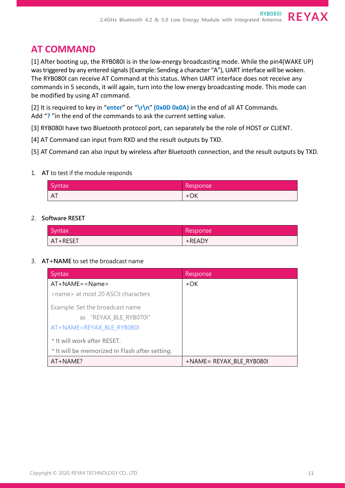# **AT COMMAND**

[1] After booting up, the RYB080I is in the low-energy broadcasting mode. While the pin4(WAKE UP) was triggered by any entered signals (Example: Sending a character "A"), UART interface will be woken. The RYB080I can receive AT Command at this status. When UART interface does not receive any commands in 5 seconds, it will again, turn into the low energy broadcasting mode. This mode can be modified by using AT command.

[2] It is required to key in "**enter**" or "**\r\n**" **(0x0D 0x0A)** in the end of all AT Commands. Add "**?** "in the end of the commands to ask the current setting value.

- [3] RYB080I have two Bluetooth protocol port, can separately be the role of HOST or CLIENT.
- [4] AT Command can input from RXD and the result outputs by TXD.
- [5] AT Command can also input by wireless after Bluetooth connection, and the result outputs by TXD.

## 1. **AT** to test if the module responds

| Syntax | Response |
|--------|----------|
| AT     | $+OK$    |

## 2. **Software RESET**

| Syntax   | /Response |
|----------|-----------|
| AT+RESET | +READY    |

#### 3. **AT+NAME** to set the broadcast name

| <b>Syntax</b>                                                                 | Response                 |
|-------------------------------------------------------------------------------|--------------------------|
| $AT+NAME=$                                                                    | $+OK$                    |
| <name> at most 20 ASCII characters</name>                                     |                          |
| Example: Set the broadcast name<br>as "REYAX BLE RYB070I"                     |                          |
| AT+NAME=REYAX_BLE_RYB080I                                                     |                          |
| * It will work after RESET.<br>* It will be memorized in Flash after setting. |                          |
| $AT+NAME?$                                                                    | +NAME= REYAX BLE RYB080I |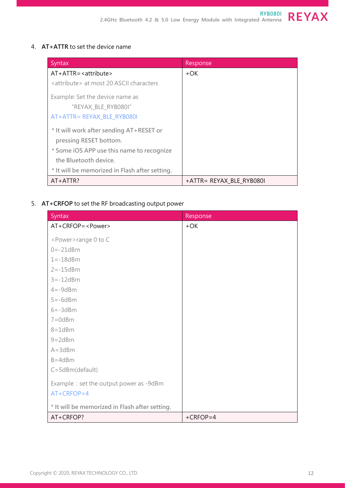## 4. **AT+ATTR** to set the device name

| <b>Syntax</b>                                       | Response                 |
|-----------------------------------------------------|--------------------------|
| $AT+ATTR = -attribute$                              | +OK                      |
| <attribute> at most 20 ASCII characters</attribute> |                          |
| Example: Set the device name as                     |                          |
| "REYAX BLE RYB080I"                                 |                          |
| AT+ATTR= REYAX_BLE_RYB080I                          |                          |
| * It will work after sending AT+RESET or            |                          |
| pressing RESET bottom.                              |                          |
| * Some iOS APP use this name to recognize           |                          |
| the Bluetooth device.                               |                          |
| * It will be memorized in Flash after setting.      |                          |
| $AT+ATTR?$                                          | +ATTR= REYAX_BLE_RYB080I |

# 5. **AT+CRFOP** to set the RF broadcasting output power

| Syntax                                         | Response    |
|------------------------------------------------|-------------|
| AT+CRFOP= <power></power>                      | $+OK$       |
| <power>range 0 to C</power>                    |             |
| $0 = -21dBm$                                   |             |
| $1 = -18$ dBm                                  |             |
| $2 = -15dBm$                                   |             |
| $3 = -12dBm$                                   |             |
| $4 = -9d$ Bm                                   |             |
| $5 = -6d$ Bm                                   |             |
| $6 = -3dBm$                                    |             |
| $7 = 0$ dBm                                    |             |
| $8 = 1$ d $Bm$                                 |             |
| $9 = 2d$ Bm                                    |             |
| $A = 3dBm$                                     |             |
| $B = 4dBm$                                     |             |
| $C = 5d$ Bm(default)                           |             |
| Example : set the output power as -9dBm        |             |
| $AT+CRFOP=4$                                   |             |
| * It will be memorized in Flash after setting. |             |
| AT+CRFOP?                                      | $+$ CRFOP=4 |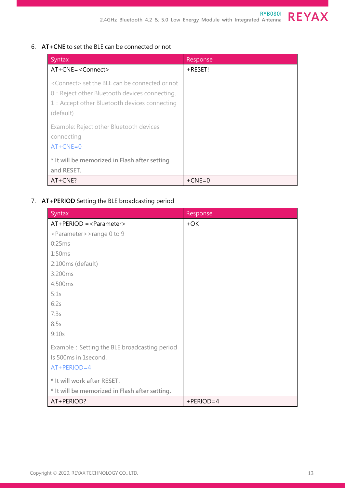# 6. **AT+CNE** to set the BLE can be connected or not

| Syntax                                                                                                                                                                     | Response   |
|----------------------------------------------------------------------------------------------------------------------------------------------------------------------------|------------|
| $AT+CNE=<\text{Connect}>$                                                                                                                                                  | $+$ RESET! |
| <connect> set the BLE can be connected or not<br/>0 : Reject other Bluetooth devices connecting.<br/>1 : Accept other Bluetooth devices connecting<br/>(default)</connect> |            |
| Example: Reject other Bluetooth devices<br>connecting<br>$AT+CNE=0$                                                                                                        |            |
| * It will be memorized in Flash after setting<br>and RESET.                                                                                                                |            |
| AT+CNE?                                                                                                                                                                    | $+CNE=0$   |

# 7. **AT+PERIOD** Setting the BLE broadcasting period

| Syntax                                         | Response     |
|------------------------------------------------|--------------|
| $AT+PERIOD = $                                 | $+OK$        |
| <parameter>&gt;range 0 to 9</parameter>        |              |
| 0:25ms                                         |              |
| 1:50ms                                         |              |
| 2:100ms (default)                              |              |
| 3:200ms                                        |              |
| 4:500ms                                        |              |
| 5:1s                                           |              |
| 6:2s                                           |              |
| 7:3s                                           |              |
| 8:5s                                           |              |
| 9:10s                                          |              |
| Example: Setting the BLE broadcasting period   |              |
| Is 500ms in 1second.                           |              |
| $AT+PERIOD=4$                                  |              |
| * It will work after RESET.                    |              |
| * It will be memorized in Flash after setting. |              |
| AT+PERIOD?                                     | $+$ PERIOD=4 |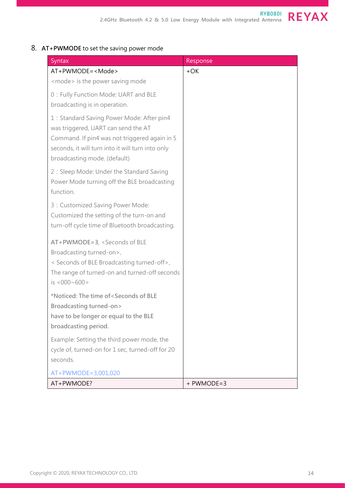# 8. **AT+PWMODE** to set the saving power mode

| Syntax                                                                                                                                                                                                                  | Response   |
|-------------------------------------------------------------------------------------------------------------------------------------------------------------------------------------------------------------------------|------------|
| $AT+PWMODE=$                                                                                                                                                                                                            | $+OK$      |
| <mode> is the power saving mode</mode>                                                                                                                                                                                  |            |
| 0 : Fully Function Mode: UART and BLE<br>broadcasting is in operation.                                                                                                                                                  |            |
| 1 : Standard Saving Power Mode: After pin4<br>was triggered, UART can send the AT<br>Command. If pin4 was not triggered again in 5<br>seconds, it will turn into it will turn into only<br>broadcasting mode. (default) |            |
| 2 : Sleep Mode: Under the Standard Saving<br>Power Mode turning off the BLE broadcasting<br>function.                                                                                                                   |            |
| 3 : Customized Saving Power Mode:<br>Customized the setting of the turn-on and<br>turn-off cycle time of Bluetooth broadcasting.                                                                                        |            |
| AT+PWMODE=3, <seconds ble<br="" of="">Broadcasting turned-on&gt;,<br/>&lt; Seconds of BLE Broadcasting turned-off&gt;,<br/>The range of turned-on and turned-off seconds<br/>is <math>&lt; 000 - 600</math></seconds>   |            |
| *Noticed: The time of <seconds ble<br="" of=""><b>Broadcasting turned-on&gt;</b><br/>have to be longer or equal to the BLE<br/>broadcasting period.</seconds>                                                           |            |
| Example: Setting the third power mode, the<br>cycle of, turned-on for 1 sec, turned-off for 20<br>seconds.                                                                                                              |            |
| AT+PWMODE=3,001,020<br>AT+PWMODE?                                                                                                                                                                                       | + PWMODE=3 |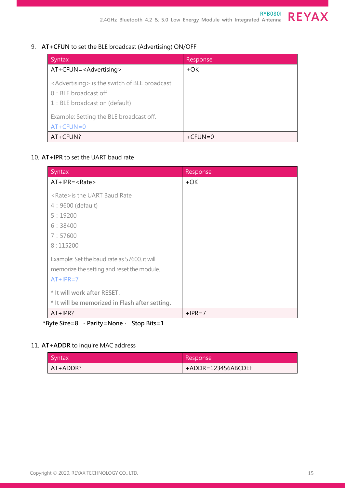## 9. **AT+CFUN** to set the BLE broadcast (Advertising) ON/OFF

| Syntax                                                                                                                  | Response  |
|-------------------------------------------------------------------------------------------------------------------------|-----------|
| $AT+CFUN = Advertising>$                                                                                                | $+OK$     |
| <advertising> is the switch of BLE broadcast<br/>0 : BLE broadcast off<br/>1 : BLE broadcast on (default)</advertising> |           |
| Example: Setting the BLE broadcast off.                                                                                 |           |
| $AT+CFUN=0$                                                                                                             |           |
| AT+CFUN?                                                                                                                | $+CFUN=0$ |

## 10. **AT+IPR** to set the UART baud rate

| <b>Syntax</b>                                  | Response  |
|------------------------------------------------|-----------|
| $AT+IPR=$                                      | +OK       |
| <rate>is the UART Baud Rate</rate>             |           |
| 4 : 9600 (default)                             |           |
| 5:19200                                        |           |
| 6:38400                                        |           |
| 7:57600                                        |           |
| 8:115200                                       |           |
| Example: Set the baud rate as 57600, it will   |           |
| memorize the setting and reset the module.     |           |
| $AT+IPR=7$                                     |           |
| * It will work after RESET.                    |           |
| * It will be memorized in Flash after setting. |           |
| $AT+IPR?$                                      | $+$ IPR=7 |

# 11. **AT+ADDR** to inquire MAC address

| <b>Syntax</b> | Response'             |
|---------------|-----------------------|
| LAT+ADDR?     | $+$ ADDR=123456ABCDEF |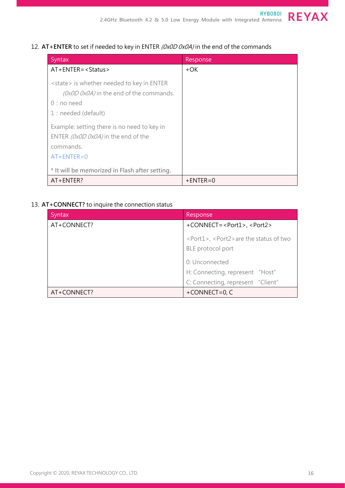12. AT + ENTER to set if needed to key in ENTER (OxOD OxOA) in the end of the commands

| Syntax                                                                                                                                             | Response   |
|----------------------------------------------------------------------------------------------------------------------------------------------------|------------|
| $AT + ENTER = <$ Status>                                                                                                                           | +OK        |
| <state> is whether needed to key in ENTER<br/>(OxOD OxOA) in the end of the commands.<br/><math>0:</math> no need<br/>1 : needed (default)</state> |            |
| Example: setting there is no need to key in<br>ENTER (OxOD OxOA) in the end of the<br>commands.<br>$AT + ENTER = 0$                                |            |
| * It will be memorized in Flash after setting.                                                                                                     |            |
| AT+ENTER?                                                                                                                                          | $+ENTER=0$ |

# 13. **AT+CONNECT?** to inquire the connection status

| Syntax      | Response                                                                    |
|-------------|-----------------------------------------------------------------------------|
| AT+CONNECT? | +CONNECT= <port1>, <port2></port2></port1>                                  |
|             | <port1>, <port2>are the status of two<br/>BLE protocol port</port2></port1> |
|             | 0: Unconnected                                                              |
|             | H: Connecting, represent "Host"                                             |
|             | C: Connecting, represent "Client"                                           |
| AT+CONNECT? | $+$ CONNECT=0, C                                                            |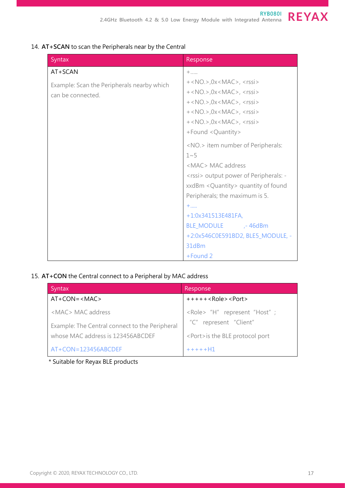# 14. **AT+SCAN** to scan the Peripherals near by the Central

| Syntax                                                                     | Response                                                                                                                                                                                                                                                                                                                                                               |
|----------------------------------------------------------------------------|------------------------------------------------------------------------------------------------------------------------------------------------------------------------------------------------------------------------------------------------------------------------------------------------------------------------------------------------------------------------|
| AT+SCAN<br>Example: Scan the Peripherals nearby which<br>can be connected. | $+ \ldots$<br>$+$ < NO. > , 0x < MAC > , < rssi ><br>$+$ < NO. > , 0x < MAC > , < rssi ><br>$+$ < NO. >,0x < MAC >, <rssi><br/><math>+</math> &lt; NO. &gt;,0x &lt; MAC &gt;, <rssi><br/><math>+</math> &lt; NO. &gt; , 0x &lt; MAC &gt; , &lt; rssi &gt;<br/>+Found <quantity></quantity></rssi></rssi>                                                               |
|                                                                            | <no.> item number of Peripherals:<br/><math>1 - 5</math><br/><mac> MAC address<br/><rssi> output power of Peripherals: -<br/>xxdBm &lt; Quantity &gt; quantity of found<br/>Peripherals; the maximum is 5.<br/><math>+</math><br/>+1:0x341513E481FA,<br/><b>BLE_MODULE</b><br/>,-46dBm<br/>+2:0x546C0E591BD2, BLE5_MODULE, -<br/>31dBm<br/>+Found 2</rssi></mac></no.> |

# 15. **AT+CON** the Central connect to a Peripheral by MAC address

| Syntax                                         | Response                              |
|------------------------------------------------|---------------------------------------|
| $AT+CON=$                                      | $++++<$ Role> <port></port>           |
| <mac> MAC address</mac>                        | <role> "H" represent "Host" ;</role>  |
| Example: The Central connect to the Peripheral | "C" represent "Client"                |
| whose MAC address is 123456ABCDEF              | <port>is the BLE protocol port</port> |
| $AT+CON=123456ABCDEF$                          | $+ + + + + + 11$                      |

\* Suitable for Reyax BLE products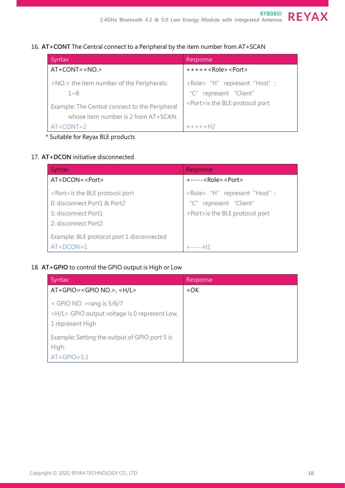## 16. **AT+CONT** The Central connect to a Peripheral by the item number from AT+SCAN

| Syntax                                                                                 | Response                                                                                                                  |
|----------------------------------------------------------------------------------------|---------------------------------------------------------------------------------------------------------------------------|
| $AT+CONT=$                                                                             | $++++<$ Role> <port></port>                                                                                               |
| <no.> the item number of the Peripherals:<br/><math>1~\sim~8</math></no.>              | <role> "H" represent "Host" ;<br/><math>^{\prime\prime}</math>C<math>^{\prime\prime}</math><br/>represent "Client"</role> |
| Example: The Central connect to the Peripheral<br>whose item number is 2 from AT+SCAN. | <port>is the BLE protocol port</port>                                                                                     |
| $AT+CONT=2$                                                                            |                                                                                                                           |

\* Suitable for Reyax BLE products

## 17. **AT+DCON** initiative disconnected

| <b>Syntax</b>                             | Response                              |
|-------------------------------------------|---------------------------------------|
| $AT+DCON=$                                | +----- <role><port></port></role>     |
| <port>is the BLE protocol port</port>     | <role> "H" represent "Host" ;</role>  |
| 0: disconnect Port1 & Port2               | "C" represent "Client"                |
| 1: disconnect Port1                       | <port>is the BLE protocol port</port> |
| 2: disconnect Port2                       |                                       |
| Example: BLE protocol port 1 disconnected |                                       |
| $AT+DCON=1$                               |                                       |

## 18. **AT+GPIO** to control the GPIO output is High or Low

| Syntax                                                                                                  | Response |
|---------------------------------------------------------------------------------------------------------|----------|
| $AT+GPIO = >, $                                                                                         | $+OK$    |
| < GPIO NO. > rang is 5/6/7<br><h l=""> GPIO output voltage is 0 represent Low,<br/>1 represent High</h> |          |
| Example: Setting the output of GPIO port 5 is<br>High.<br>$AT+GPIO=5,1$                                 |          |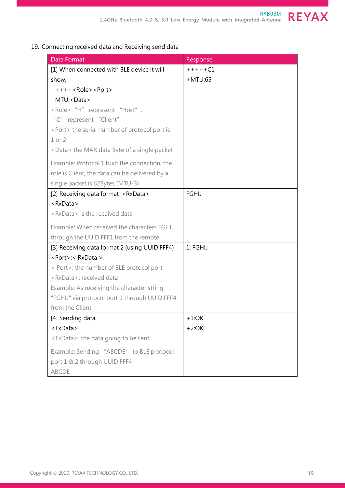19. Connecting received data and Receiving send data

| Data Format                                         | Response     |
|-----------------------------------------------------|--------------|
| [1] When connected with BLE device it will          | $+++++C1$    |
| show,                                               | $+$ MTU:65   |
| $++++<$ Role> <port></port>                         |              |
| +MTU: <data></data>                                 |              |
| <role> "H" represent "Host" ;</role>                |              |
| "C" represent "Client"                              |              |
| <port> the serial number of protocol port is</port> |              |
| $1$ or $2$                                          |              |
| <data> the MAX data Byte of a single packet</data>  |              |
| Example: Protocol 1 built the connection, the       |              |
| role is Client, the data can be delivered by a      |              |
| single packet is 62Bytes (MTU-3)                    |              |
| [2] Receiving data format :< RxData>                | <b>FGHIJ</b> |
| <rxdata></rxdata>                                   |              |
| <rxdata> is the received data</rxdata>              |              |
| Example: When received the characters FGHIJ         |              |
| through the UUID FFF1 from the remote.              |              |
| [3] Receiving data format 2 (using UUID FFF4)       | 1: FGHIJ     |
| <port>:&lt; RxData &gt;</port>                      |              |
| < Port>: the number of BLE protocol port            |              |
| <rxdata>: received data</rxdata>                    |              |
| Example: As receiving the character string          |              |
| "FGHIJ" via protocol port 1 through UUID FFF4       |              |
| from the Client                                     |              |
| [4] Sending data                                    | $+1:OK$      |
| <txdata></txdata>                                   | $+2:OK$      |
| <txdata>: the data going to be sent</txdata>        |              |
| Example: Sending "ABCDE" to BLE protocol            |              |
| port 1 & 2 through UUID FFF4                        |              |
| <b>ABCDE</b>                                        |              |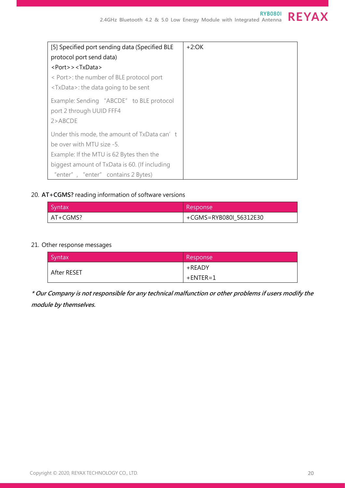| [5] Specified port sending data (Specified BLE                       | $+2:OK$ |
|----------------------------------------------------------------------|---------|
| protocol port send data)                                             |         |
| <port>&gt;<txdata></txdata></port>                                   |         |
| < Port>: the number of BLE protocol port                             |         |
| <txdata>: the data going to be sent</txdata>                         |         |
| Example: Sending "ABCDE" to BLE protocol<br>port 2 through UUID FFF4 |         |
| 2>ABCDE                                                              |         |
| Under this mode, the amount of TxData can't                          |         |
| be over with MTU size -5.                                            |         |
| Example: If the MTU is 62 Bytes then the                             |         |
| biggest amount of TxData is 60. (If including                        |         |
| "enter", "enter" contains 2 Bytes)                                   |         |

# 20. **AT+CGMS?** reading information of software versions

| <b>Syntax</b> | Response               |
|---------------|------------------------|
| $AT+CGMS?$    | +CGMS=RYB080I_56312E30 |

# 21. Other response messages

| Syntax      | Response     |
|-------------|--------------|
| After RESET | +READY       |
|             | $+ENTER = 1$ |

**\* Our Company is not responsible for any technical malfunction or other problems if users modify the module by themselves.**